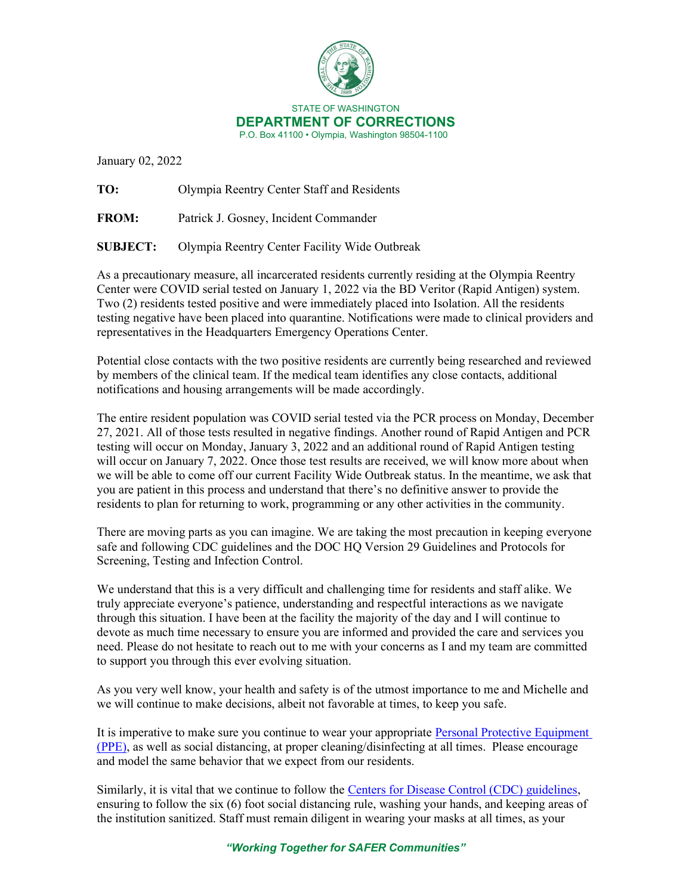

January 02, 2022

TO: Olympia Reentry Center Staff and Residents

FROM: Patrick J. Gosney, Incident Commander

SUBJECT: Olympia Reentry Center Facility Wide Outbreak

 Two (2) residents tested positive and were immediately placed into Isolation. All the residents As a precautionary measure, all incarcerated residents currently residing at the Olympia Reentry Center were COVID serial tested on January 1, 2022 via the BD Veritor (Rapid Antigen) system. testing negative have been placed into quarantine. Notifications were made to clinical providers and representatives in the Headquarters Emergency Operations Center.

 by members of the clinical team. If the medical team identifies any close contacts, additional Potential close contacts with the two positive residents are currently being researched and reviewed notifications and housing arrangements will be made accordingly.

 The entire resident population was COVID serial tested via the PCR process on Monday, December will occur on January 7, 2022. Once those test results are received, we will know more about when residents to plan for returning to work, programming or any other activities in the community. 27, 2021. All of those tests resulted in negative findings. Another round of Rapid Antigen and PCR testing will occur on Monday, January 3, 2022 and an additional round of Rapid Antigen testing we will be able to come off our current Facility Wide Outbreak status. In the meantime, we ask that you are patient in this process and understand that there's no definitive answer to provide the

 There are moving parts as you can imagine. We are taking the most precaution in keeping everyone safe and following CDC guidelines and the DOC HQ Version 29 Guidelines and Protocols for Screening, Testing and Infection Control.

 through this situation. I have been at the facility the majority of the day and I will continue to devote as much time necessary to ensure you are informed and provided the care and services you We understand that this is a very difficult and challenging time for residents and staff alike. We truly appreciate everyone's patience, understanding and respectful interactions as we navigate need. Please do not hesitate to reach out to me with your concerns as I and my team are committed to support you through this ever evolving situation.

 we will continue to make decisions, albeit not favorable at times, to keep you safe. As you very well know, your health and safety is of the utmost importance to me and Michelle and

It is imperative to make sure you continue to wear your appropriate Personal Protective Equipment (PPE), as well as social distancing, at proper cleaning/disinfecting at all times. Please encourage and model the same behavior that we expect from our residents.

Similarly, it is vital that we continue to follow the Centers for Disease Control (CDC) guidelines, the institution sanitized. Staff must remain diligent in wearing your masks at all times, as your ensuring to follow the six (6) foot social distancing rule, washing your hands, and keeping areas of

"Working Together for SAFER Communities"